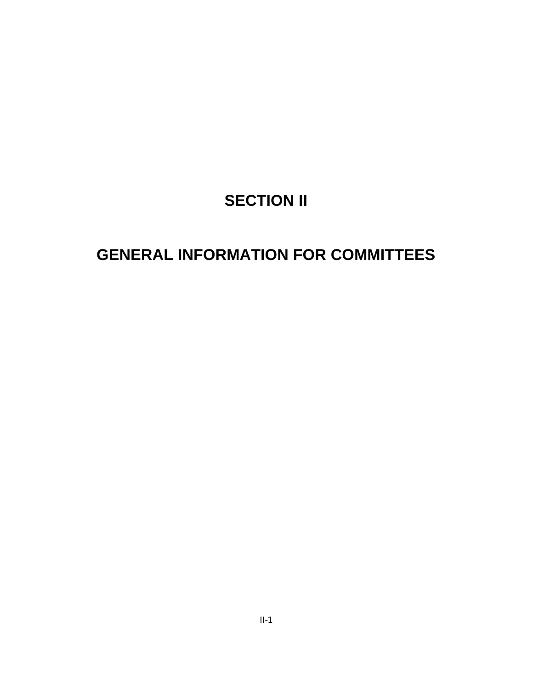# **SECTION II**

## **GENERAL INFORMATION FOR COMMITTEES**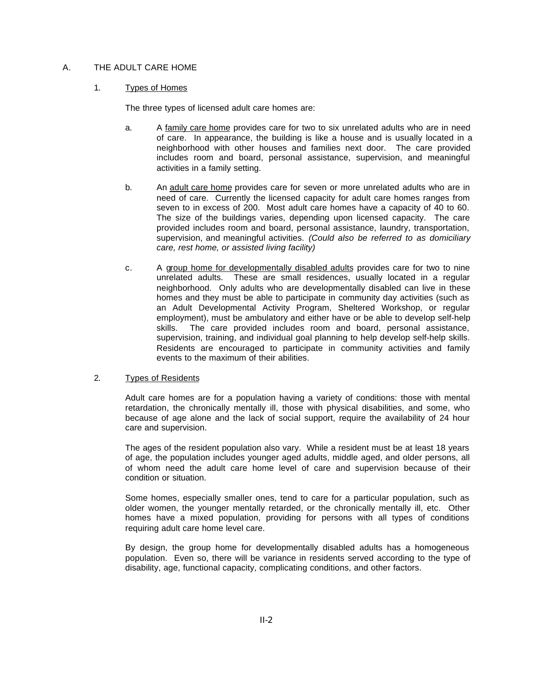## A. THE ADULT CARE HOME

## 1. Types of Homes

The three types of licensed adult care homes are:

- a. A family care home provides care for two to six unrelated adults who are in need of care. In appearance, the building is like a house and is usually located in a neighborhood with other houses and families next door. The care provided includes room and board, personal assistance, supervision, and meaningful activities in a family setting.
- b. An adult care home provides care for seven or more unrelated adults who are in need of care. Currently the licensed capacity for adult care homes ranges from seven to in excess of 200. Most adult care homes have a capacity of 40 to 60. The size of the buildings varies, depending upon licensed capacity. The care provided includes room and board, personal assistance, laundry, transportation, supervision, and meaningful activities. *(Could also be referred to as domiciliary care, rest home, or assisted living facility)*
- c. A group home for developmentally disabled adults provides care for two to nine unrelated adults. These are small residences, usually located in a regular neighborhood. Only adults who are developmentally disabled can live in these homes and they must be able to participate in community day activities (such as an Adult Developmental Activity Program, Sheltered Workshop, or regular employment), must be ambulatory and either have or be able to develop self-help skills. The care provided includes room and board, personal assistance, supervision, training, and individual goal planning to help develop self-help skills. Residents are encouraged to participate in community activities and family events to the maximum of their abilities.

## 2. Types of Residents

Adult care homes are for a population having a variety of conditions: those with mental retardation, the chronically mentally ill, those with physical disabilities, and some, who because of age alone and the lack of social support, require the availability of 24 hour care and supervision.

The ages of the resident population also vary. While a resident must be at least 18 years of age, the population includes younger aged adults, middle aged, and older persons, all of whom need the adult care home level of care and supervision because of their condition or situation.

Some homes, especially smaller ones, tend to care for a particular population, such as older women, the younger mentally retarded, or the chronically mentally ill, etc. Other homes have a mixed population, providing for persons with all types of conditions requiring adult care home level care.

By design, the group home for developmentally disabled adults has a homogeneous population. Even so, there will be variance in residents served according to the type of disability, age, functional capacity, complicating conditions, and other factors.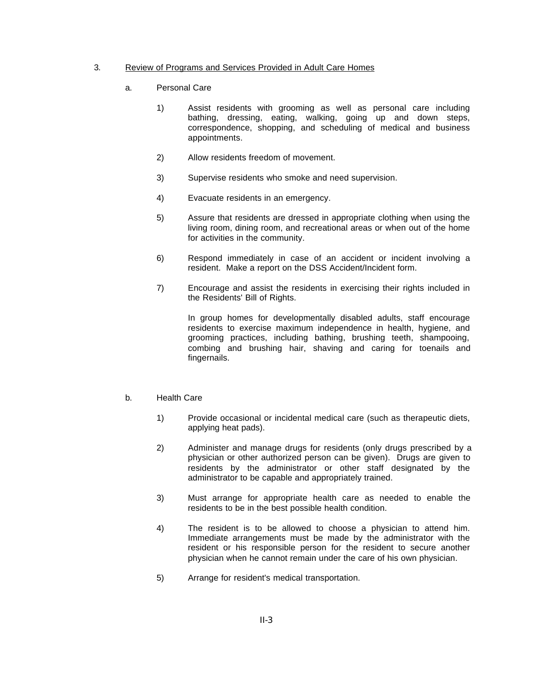## 3. Review of Programs and Services Provided in Adult Care Homes

- a. Personal Care
	- 1) Assist residents with grooming as well as personal care including bathing, dressing, eating, walking, going up and down steps, correspondence, shopping, and scheduling of medical and business appointments.
	- 2) Allow residents freedom of movement.
	- 3) Supervise residents who smoke and need supervision.
	- 4) Evacuate residents in an emergency.
	- 5) Assure that residents are dressed in appropriate clothing when using the living room, dining room, and recreational areas or when out of the home for activities in the community.
	- 6) Respond immediately in case of an accident or incident involving a resident. Make a report on the DSS Accident/Incident form.
	- 7) Encourage and assist the residents in exercising their rights included in the Residents' Bill of Rights.

In group homes for developmentally disabled adults, staff encourage residents to exercise maximum independence in health, hygiene, and grooming practices, including bathing, brushing teeth, shampooing, combing and brushing hair, shaving and caring for toenails and fingernails.

#### b. Health Care

- 1) Provide occasional or incidental medical care (such as therapeutic diets, applying heat pads).
- 2) Administer and manage drugs for residents (only drugs prescribed by a physician or other authorized person can be given). Drugs are given to residents by the administrator or other staff designated by the administrator to be capable and appropriately trained.
- 3) Must arrange for appropriate health care as needed to enable the residents to be in the best possible health condition.
- 4) The resident is to be allowed to choose a physician to attend him. Immediate arrangements must be made by the administrator with the resident or his responsible person for the resident to secure another physician when he cannot remain under the care of his own physician.
- 5) Arrange for resident's medical transportation.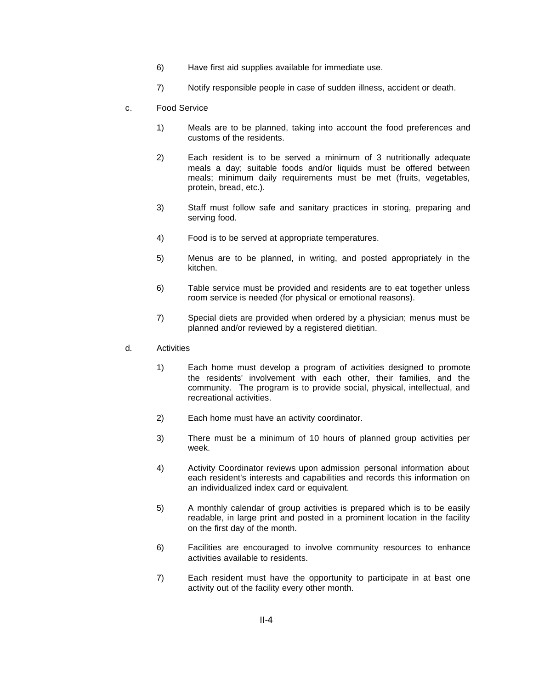- 6) Have first aid supplies available for immediate use.
- 7) Notify responsible people in case of sudden illness, accident or death.
- c. Food Service
	- 1) Meals are to be planned, taking into account the food preferences and customs of the residents.
	- 2) Each resident is to be served a minimum of 3 nutritionally adequate meals a day; suitable foods and/or liquids must be offered between meals; minimum daily requirements must be met (fruits, vegetables, protein, bread, etc.).
	- 3) Staff must follow safe and sanitary practices in storing, preparing and serving food.
	- 4) Food is to be served at appropriate temperatures.
	- 5) Menus are to be planned, in writing, and posted appropriately in the kitchen.
	- 6) Table service must be provided and residents are to eat together unless room service is needed (for physical or emotional reasons).
	- 7) Special diets are provided when ordered by a physician; menus must be planned and/or reviewed by a registered dietitian.
- d. Activities
	- 1) Each home must develop a program of activities designed to promote the residents' involvement with each other, their families, and the community. The program is to provide social, physical, intellectual, and recreational activities.
	- 2) Each home must have an activity coordinator.
	- 3) There must be a minimum of 10 hours of planned group activities per week.
	- 4) Activity Coordinator reviews upon admission personal information about each resident's interests and capabilities and records this information on an individualized index card or equivalent.
	- 5) A monthly calendar of group activities is prepared which is to be easily readable, in large print and posted in a prominent location in the facility on the first day of the month.
	- 6) Facilities are encouraged to involve community resources to enhance activities available to residents.
	- 7) Each resident must have the opportunity to participate in at least one activity out of the facility every other month.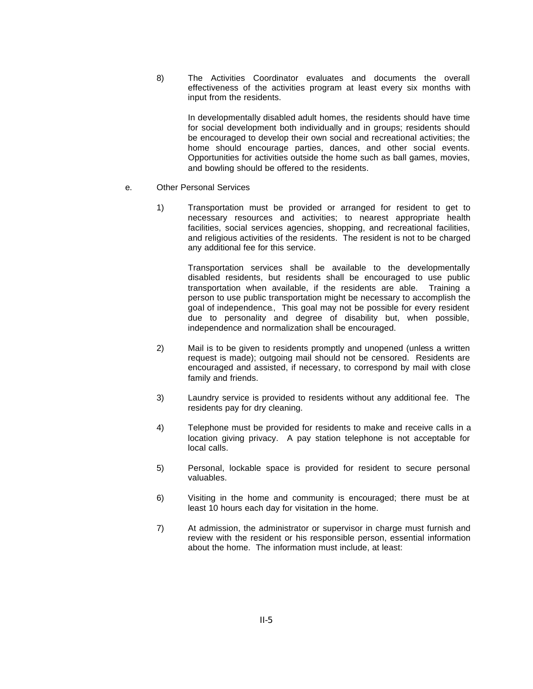8) The Activities Coordinator evaluates and documents the overall effectiveness of the activities program at least every six months with input from the residents.

In developmentally disabled adult homes, the residents should have time for social development both individually and in groups; residents should be encouraged to develop their own social and recreational activities; the home should encourage parties, dances, and other social events. Opportunities for activities outside the home such as ball games, movies, and bowling should be offered to the residents.

#### e. Other Personal Services

1) Transportation must be provided or arranged for resident to get to necessary resources and activities; to nearest appropriate health facilities, social services agencies, shopping, and recreational facilities, and religious activities of the residents. The resident is not to be charged any additional fee for this service.

Transportation services shall be available to the developmentally disabled residents, but residents shall be encouraged to use public transportation when available, if the residents are able. Training a person to use public transportation might be necessary to accomplish the goal of independence., This goal may not be possible for every resident due to personality and degree of disability but, when possible, independence and normalization shall be encouraged.

- 2) Mail is to be given to residents promptly and unopened (unless a written request is made); outgoing mail should not be censored. Residents are encouraged and assisted, if necessary, to correspond by mail with close family and friends.
- 3) Laundry service is provided to residents without any additional fee. The residents pay for dry cleaning.
- 4) Telephone must be provided for residents to make and receive calls in a location giving privacy. A pay station telephone is not acceptable for local calls.
- 5) Personal, lockable space is provided for resident to secure personal valuables.
- 6) Visiting in the home and community is encouraged; there must be at least 10 hours each day for visitation in the home.
- 7) At admission, the administrator or supervisor in charge must furnish and review with the resident or his responsible person, essential information about the home. The information must include, at least: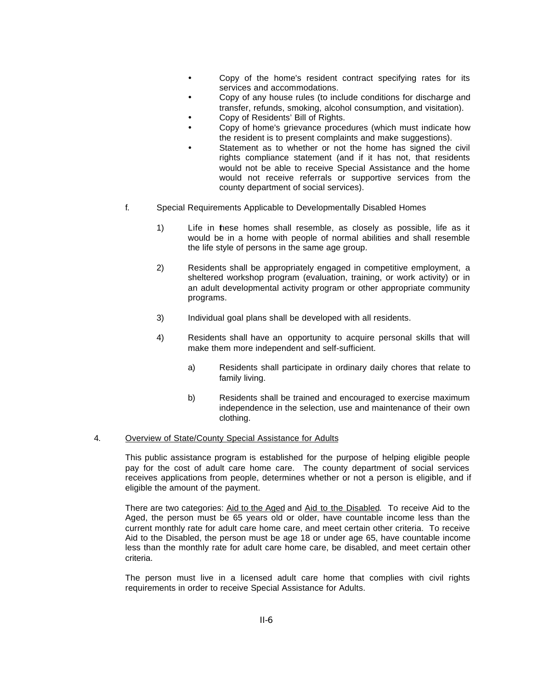- Copy of the home's resident contract specifying rates for its services and accommodations.
- Copy of any house rules (to include conditions for discharge and transfer, refunds, smoking, alcohol consumption, and visitation).
- Copy of Residents' Bill of Rights.
- Copy of home's grievance procedures (which must indicate how the resident is to present complaints and make suggestions).
- Statement as to whether or not the home has signed the civil rights compliance statement (and if it has not, that residents would not be able to receive Special Assistance and the home would not receive referrals or supportive services from the county department of social services).
- f. Special Requirements Applicable to Developmentally Disabled Homes
	- 1) Life in these homes shall resemble, as closely as possible, life as it would be in a home with people of normal abilities and shall resemble the life style of persons in the same age group.
	- 2) Residents shall be appropriately engaged in competitive employment, a sheltered workshop program (evaluation, training, or work activity) or in an adult developmental activity program or other appropriate community programs.
	- 3) Individual goal plans shall be developed with all residents.
	- 4) Residents shall have an opportunity to acquire personal skills that will make them more independent and self-sufficient.
		- a) Residents shall participate in ordinary daily chores that relate to family living.
		- b) Residents shall be trained and encouraged to exercise maximum independence in the selection, use and maintenance of their own clothing.

#### 4. Overview of State/County Special Assistance for Adults

This public assistance program is established for the purpose of helping eligible people pay for the cost of adult care home care. The county department of social services receives applications from people, determines whether or not a person is eligible, and if eligible the amount of the payment.

There are two categories: Aid to the Aged and Aid to the Disabled. To receive Aid to the Aged, the person must be 65 years old or older, have countable income less than the current monthly rate for adult care home care, and meet certain other criteria. To receive Aid to the Disabled, the person must be age 18 or under age 65, have countable income less than the monthly rate for adult care home care, be disabled, and meet certain other criteria.

The person must live in a licensed adult care home that complies with civil rights requirements in order to receive Special Assistance for Adults.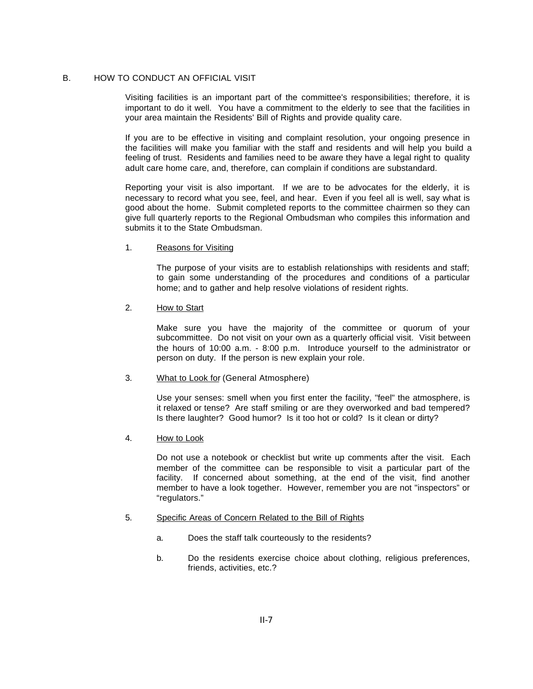#### B. HOW TO CONDUCT AN OFFICIAL VISIT

Visiting facilities is an important part of the committee's responsibilities; therefore, it is important to do it well. You have a commitment to the elderly to see that the facilities in your area maintain the Residents' Bill of Rights and provide quality care.

If you are to be effective in visiting and complaint resolution, your ongoing presence in the facilities will make you familiar with the staff and residents and will help you build a feeling of trust. Residents and families need to be aware they have a legal right to quality adult care home care, and, therefore, can complain if conditions are substandard.

Reporting your visit is also important. If we are to be advocates for the elderly, it is necessary to record what you see, feel, and hear. Even if you feel all is well, say what is good about the home. Submit completed reports to the committee chairmen so they can give full quarterly reports to the Regional Ombudsman who compiles this information and submits it to the State Ombudsman.

#### 1. Reasons for Visiting

The purpose of your visits are to establish relationships with residents and staff; to gain some understanding of the procedures and conditions of a particular home; and to gather and help resolve violations of resident rights.

## 2. How to Start

Make sure you have the majority of the committee or quorum of your subcommittee. Do not visit on your own as a quarterly official visit. Visit between the hours of 10:00 a.m. - 8:00 p.m. Introduce yourself to the administrator or person on duty. If the person is new explain your role.

## 3. What to Look for (General Atmosphere)

Use your senses: smell when you first enter the facility, "feel" the atmosphere, is it relaxed or tense? Are staff smiling or are they overworked and bad tempered? Is there laughter? Good humor? Is it too hot or cold? Is it clean or dirty?

## 4. How to Look

Do not use a notebook or checklist but write up comments after the visit. Each member of the committee can be responsible to visit a particular part of the facility. If concerned about something, at the end of the visit, find another member to have a look together. However, remember you are not "inspectors" or "regulators."

#### 5. Specific Areas of Concern Related to the Bill of Rights

- a. Does the staff talk courteously to the residents?
- b. Do the residents exercise choice about clothing, religious preferences, friends, activities, etc.?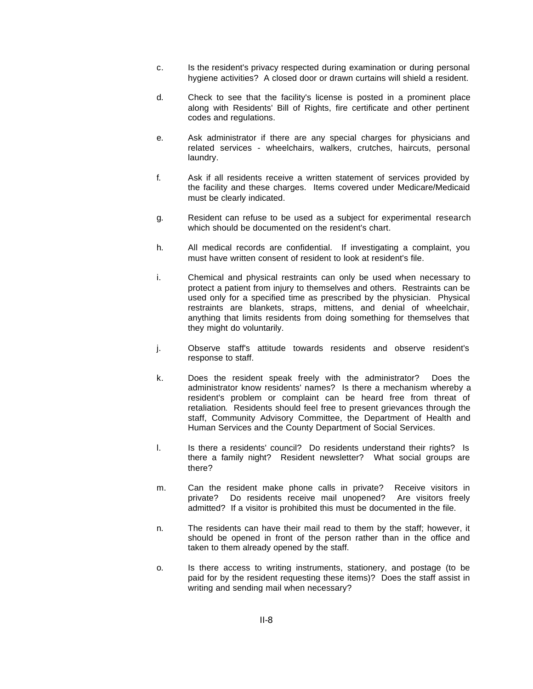- c. Is the resident's privacy respected during examination or during personal hygiene activities? A closed door or drawn curtains will shield a resident.
- d. Check to see that the facility's license is posted in a prominent place along with Residents' Bill of Rights, fire certificate and other pertinent codes and regulations.
- e. Ask administrator if there are any special charges for physicians and related services - wheelchairs, walkers, crutches, haircuts, personal laundry.
- f. Ask if all residents receive a written statement of services provided by the facility and these charges. Items covered under Medicare/Medicaid must be clearly indicated.
- g. Resident can refuse to be used as a subject for experimental research which should be documented on the resident's chart.
- h. All medical records are confidential. If investigating a complaint, you must have written consent of resident to look at resident's file.
- i. Chemical and physical restraints can only be used when necessary to protect a patient from injury to themselves and others. Restraints can be used only for a specified time as prescribed by the physician. Physical restraints are blankets, straps, mittens, and denial of wheelchair, anything that limits residents from doing something for themselves that they might do voluntarily.
- j. Observe staff's attitude towards residents and observe resident's response to staff.
- k. Does the resident speak freely with the administrator? Does the administrator know residents' names? Is there a mechanism whereby a resident's problem or complaint can be heard free from threat of retaliation. Residents should feel free to present grievances through the staff, Community Advisory Committee, the Department of Health and Human Services and the County Department of Social Services.
- l. Is there a residents' council? Do residents understand their rights? Is there a family night? Resident newsletter? What social groups are there?
- m. Can the resident make phone calls in private? Receive visitors in private? Do residents receive mail unopened? Are visitors freely admitted? If a visitor is prohibited this must be documented in the file.
- n. The residents can have their mail read to them by the staff; however, it should be opened in front of the person rather than in the office and taken to them already opened by the staff.
- o. Is there access to writing instruments, stationery, and postage (to be paid for by the resident requesting these items)? Does the staff assist in writing and sending mail when necessary?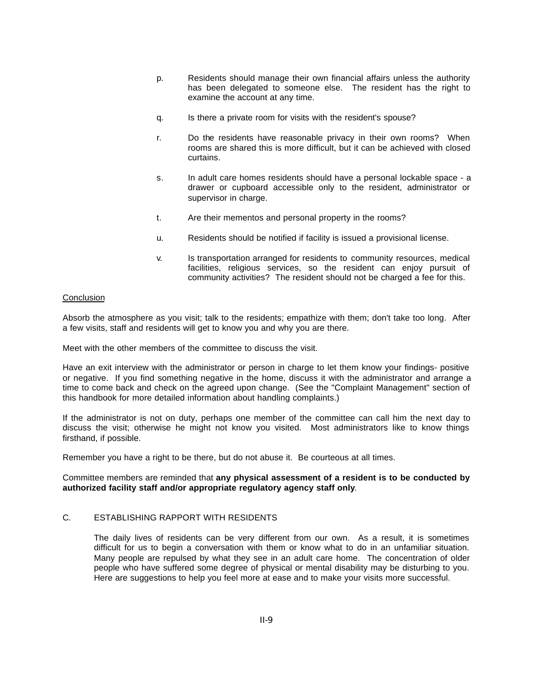- p. Residents should manage their own financial affairs unless the authority has been delegated to someone else. The resident has the right to examine the account at any time.
- q. Is there a private room for visits with the resident's spouse?
- r. Do the residents have reasonable privacy in their own rooms? When rooms are shared this is more difficult, but it can be achieved with closed curtains.
- s. In adult care homes residents should have a personal lockable space a drawer or cupboard accessible only to the resident, administrator or supervisor in charge.
- t. Are their mementos and personal property in the rooms?
- u. Residents should be notified if facility is issued a provisional license.
- v. Is transportation arranged for residents to community resources, medical facilities, religious services, so the resident can enjoy pursuit of community activities? The resident should not be charged a fee for this.

#### **Conclusion**

Absorb the atmosphere as you visit; talk to the residents; empathize with them; don't take too long. After a few visits, staff and residents will get to know you and why you are there.

Meet with the other members of the committee to discuss the visit.

Have an exit interview with the administrator or person in charge to let them know your findings- positive or negative. If you find something negative in the home, discuss it with the administrator and arrange a time to come back and check on the agreed upon change. (See the "Complaint Management" section of this handbook for more detailed information about handling complaints.)

If the administrator is not on duty, perhaps one member of the committee can call him the next day to discuss the visit; otherwise he might not know you visited. Most administrators like to know things firsthand, if possible.

Remember you have a right to be there, but do not abuse it. Be courteous at all times.

Committee members are reminded that **any physical assessment of a resident is to be conducted by authorized facility staff and/or appropriate regulatory agency staff only**.

## C. ESTABLISHING RAPPORT WITH RESIDENTS

The daily lives of residents can be very different from our own. As a result, it is sometimes difficult for us to begin a conversation with them or know what to do in an unfamiliar situation. Many people are repulsed by what they see in an adult care home. The concentration of older people who have suffered some degree of physical or mental disability may be disturbing to you. Here are suggestions to help you feel more at ease and to make your visits more successful.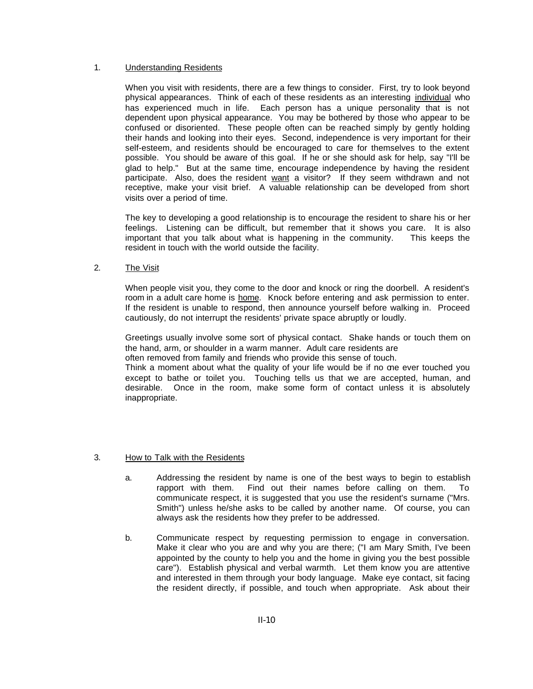#### 1. Understanding Residents

When you visit with residents, there are a few things to consider. First, try to look beyond physical appearances. Think of each of these residents as an interesting individual who has experienced much in life. Each person has a unique personality that is not dependent upon physical appearance. You may be bothered by those who appear to be confused or disoriented. These people often can be reached simply by gently holding their hands and looking into their eyes. Second, independence is very important for their self-esteem, and residents should be encouraged to care for themselves to the extent possible. You should be aware of this goal. If he or she should ask for help, say "I'll be glad to help." But at the same time, encourage independence by having the resident participate. Also, does the resident want a visitor? If they seem withdrawn and not receptive, make your visit brief. A valuable relationship can be developed from short visits over a period of time.

The key to developing a good relationship is to encourage the resident to share his or her feelings. Listening can be difficult, but remember that it shows you care. It is also important that you talk about what is happening in the community. This keeps the resident in touch with the world outside the facility.

## 2. The Visit

When people visit you, they come to the door and knock or ring the doorbell. A resident's room in a adult care home is home. Knock before entering and ask permission to enter. If the resident is unable to respond, then announce yourself before walking in. Proceed cautiously, do not interrupt the residents' private space abruptly or loudly.

Greetings usually involve some sort of physical contact. Shake hands or touch them on the hand, arm, or shoulder in a warm manner. Adult care residents are

often removed from family and friends who provide this sense of touch.

Think a moment about what the quality of your life would be if no one ever touched you except to bathe or toilet you. Touching tells us that we are accepted, human, and desirable. Once in the room, make some form of contact unless it is absolutely inappropriate.

## 3. How to Talk with the Residents

- a. Addressing the resident by name is one of the best ways to begin to establish rapport with them. Find out their names before calling on them. To communicate respect, it is suggested that you use the resident's surname ("Mrs. Smith") unless he/she asks to be called by another name. Of course, you can always ask the residents how they prefer to be addressed.
- b. Communicate respect by requesting permission to engage in conversation. Make it clear who you are and why you are there; ("I am Mary Smith, I've been appointed by the county to help you and the home in giving you the best possible care"). Establish physical and verbal warmth. Let them know you are attentive and interested in them through your body language. Make eye contact, sit facing the resident directly, if possible, and touch when appropriate. Ask about their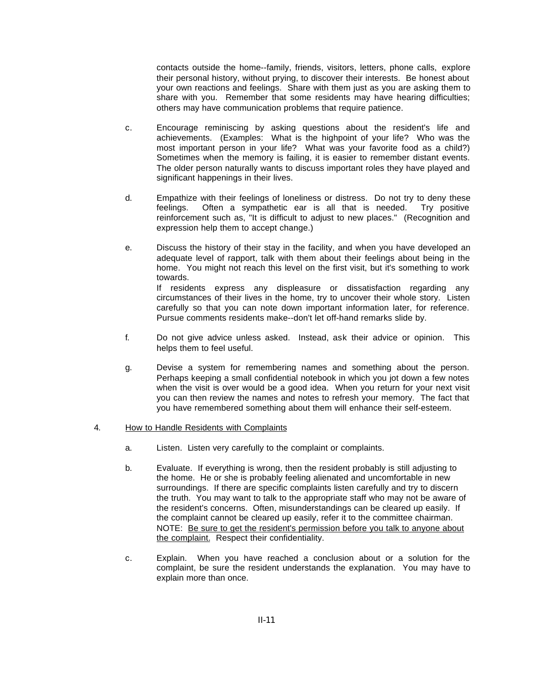contacts outside the home--family, friends, visitors, letters, phone calls, explore their personal history, without prying, to discover their interests. Be honest about your own reactions and feelings. Share with them just as you are asking them to share with you. Remember that some residents may have hearing difficulties; others may have communication problems that require patience.

- c. Encourage reminiscing by asking questions about the resident's life and achievements. (Examples: What is the highpoint of your life? Who was the most important person in your life? What was your favorite food as a child?) Sometimes when the memory is failing, it is easier to remember distant events. The older person naturally wants to discuss important roles they have played and significant happenings in their lives.
- d. Empathize with their feelings of loneliness or distress. Do not try to deny these feelings. Often a sympathetic ear is all that is needed. Try positive reinforcement such as, "It is difficult to adjust to new places." (Recognition and expression help them to accept change.)
- e. Discuss the history of their stay in the facility, and when you have developed an adequate level of rapport, talk with them about their feelings about being in the home. You might not reach this level on the first visit, but it's something to work towards. If residents express any displeasure or dissatisfaction regarding any

circumstances of their lives in the home, try to uncover their whole story. Listen carefully so that you can note down important information later, for reference. Pursue comments residents make--don't let off-hand remarks slide by.

- f. Do not give advice unless asked. Instead, ask their advice or opinion. This helps them to feel useful.
- g. Devise a system for remembering names and something about the person. Perhaps keeping a small confidential notebook in which you jot down a few notes when the visit is over would be a good idea. When you return for your next visit you can then review the names and notes to refresh your memory. The fact that you have remembered something about them will enhance their self-esteem.

## 4. How to Handle Residents with Complaints

- a. Listen. Listen very carefully to the complaint or complaints.
- b. Evaluate. If everything is wrong, then the resident probably is still adjusting to the home. He or she is probably feeling alienated and uncomfortable in new surroundings. If there are specific complaints listen carefully and try to discern the truth. You may want to talk to the appropriate staff who may not be aware of the resident's concerns. Often, misunderstandings can be cleared up easily. If the complaint cannot be cleared up easily, refer it to the committee chairman. NOTE: Be sure to get the resident's permission before you talk to anyone about the complaint. Respect their confidentiality.
- c. Explain. When you have reached a conclusion about or a solution for the complaint, be sure the resident understands the explanation. You may have to explain more than once.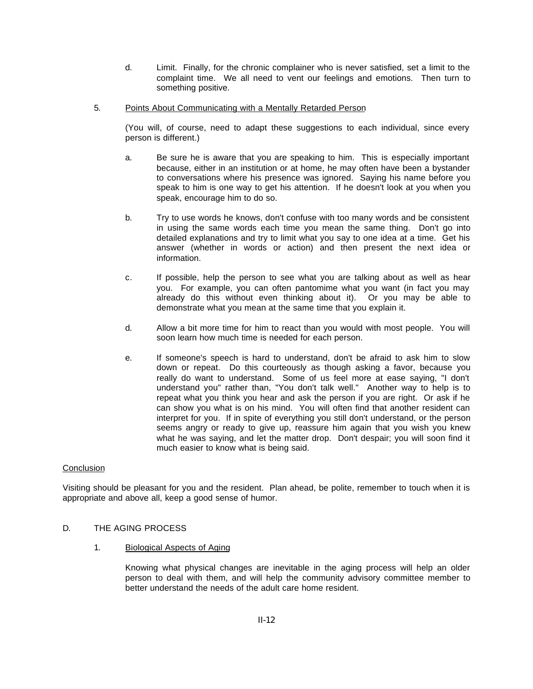- d. Limit. Finally, for the chronic complainer who is never satisfied, set a limit to the complaint time. We all need to vent our feelings and emotions. Then turn to something positive.
- 5. Points About Communicating with a Mentally Retarded Person

(You will, of course, need to adapt these suggestions to each individual, since every person is different.)

- a. Be sure he is aware that you are speaking to him. This is especially important because, either in an institution or at home, he may often have been a bystander to conversations where his presence was ignored. Saying his name before you speak to him is one way to get his attention. If he doesn't look at you when you speak, encourage him to do so.
- b. Try to use words he knows, don't confuse with too many words and be consistent in using the same words each time you mean the same thing. Don't go into detailed explanations and try to limit what you say to one idea at a time. Get his answer (whether in words or action) and then present the next idea or information.
- c. If possible, help the person to see what you are talking about as well as hear you. For example, you can often pantomime what you want (in fact you may already do this without even thinking about it). Or you may be able to demonstrate what you mean at the same time that you explain it.
- d. Allow a bit more time for him to react than you would with most people. You will soon learn how much time is needed for each person.
- e. If someone's speech is hard to understand, don't be afraid to ask him to slow down or repeat. Do this courteously as though asking a favor, because you really do want to understand. Some of us feel more at ease saying, "I don't understand you" rather than, "You don't talk well." Another way to help is to repeat what you think you hear and ask the person if you are right. Or ask if he can show you what is on his mind. You will often find that another resident can interpret for you. If in spite of everything you still don't understand, or the person seems angry or ready to give up, reassure him again that you wish you knew what he was saying, and let the matter drop. Don't despair; you will soon find it much easier to know what is being said.

## **Conclusion**

Visiting should be pleasant for you and the resident. Plan ahead, be polite, remember to touch when it is appropriate and above all, keep a good sense of humor.

## D. THE AGING PROCESS

1. Biological Aspects of Aging

Knowing what physical changes are inevitable in the aging process will help an older person to deal with them, and will help the community advisory committee member to better understand the needs of the adult care home resident.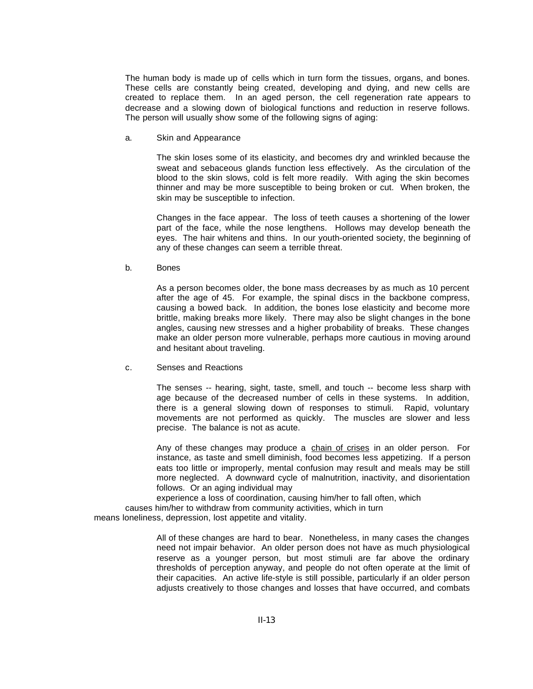The human body is made up of cells which in turn form the tissues, organs, and bones. These cells are constantly being created, developing and dying, and new cells are created to replace them. In an aged person, the cell regeneration rate appears to decrease and a slowing down of biological functions and reduction in reserve follows. The person will usually show some of the following signs of aging:

a. Skin and Appearance

The skin loses some of its elasticity, and becomes dry and wrinkled because the sweat and sebaceous glands function less effectively. As the circulation of the blood to the skin slows, cold is felt more readily. With aging the skin becomes thinner and may be more susceptible to being broken or cut. When broken, the skin may be susceptible to infection.

Changes in the face appear. The loss of teeth causes a shortening of the lower part of the face, while the nose lengthens. Hollows may develop beneath the eyes. The hair whitens and thins. In our youth-oriented society, the beginning of any of these changes can seem a terrible threat.

b. Bones

As a person becomes older, the bone mass decreases by as much as 10 percent after the age of 45. For example, the spinal discs in the backbone compress, causing a bowed back. In addition, the bones lose elasticity and become more brittle, making breaks more likely. There may also be slight changes in the bone angles, causing new stresses and a higher probability of breaks. These changes make an older person more vulnerable, perhaps more cautious in moving around and hesitant about traveling.

c. Senses and Reactions

The senses -- hearing, sight, taste, smell, and touch -- become less sharp with age because of the decreased number of cells in these systems. In addition, there is a general slowing down of responses to stimuli. Rapid, voluntary movements are not performed as quickly. The muscles are slower and less precise. The balance is not as acute.

Any of these changes may produce a chain of crises in an older person. For instance, as taste and smell diminish, food becomes less appetizing. If a person eats too little or improperly, mental confusion may result and meals may be still more neglected. A downward cycle of malnutrition, inactivity, and disorientation follows. Or an aging individual may

experience a loss of coordination, causing him/her to fall often, which

causes him/her to withdraw from community activities, which in turn

means loneliness, depression, lost appetite and vitality.

All of these changes are hard to bear. Nonetheless, in many cases the changes need not impair behavior. An older person does not have as much physiological reserve as a younger person, but most stimuli are far above the ordinary thresholds of perception anyway, and people do not often operate at the limit of their capacities. An active life-style is still possible, particularly if an older person adjusts creatively to those changes and losses that have occurred, and combats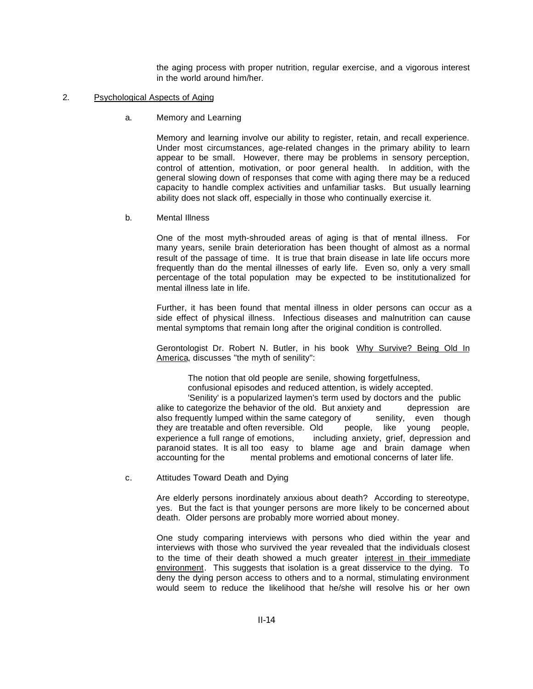the aging process with proper nutrition, regular exercise, and a vigorous interest in the world around him/her.

#### 2. Psychological Aspects of Aging

a. Memory and Learning

Memory and learning involve our ability to register, retain, and recall experience. Under most circumstances, age-related changes in the primary ability to learn appear to be small. However, there may be problems in sensory perception, control of attention, motivation, or poor general health. In addition, with the general slowing down of responses that come with aging there may be a reduced capacity to handle complex activities and unfamiliar tasks. But usually learning ability does not slack off, especially in those who continually exercise it.

b. Mental Illness

One of the most myth-shrouded areas of aging is that of mental illness. For many years, senile brain deterioration has been thought of almost as a normal result of the passage of time. It is true that brain disease in late life occurs more frequently than do the mental illnesses of early life. Even so, only a very small percentage of the total population may be expected to be institutionalized for mental illness late in life.

Further, it has been found that mental illness in older persons can occur as a side effect of physical illness. Infectious diseases and malnutrition can cause mental symptoms that remain long after the original condition is controlled.

Gerontologist Dr. Robert N. Butler, in his book Why Survive? Being Old In America, discusses "the myth of senility":

The notion that old people are senile, showing forgetfulness,

confusional episodes and reduced attention, is widely accepted.

'Senility' is a popularized laymen's term used by doctors and the public alike to categorize the behavior of the old. But anxiety and depression are also frequently lumped within the same category of senility, even though they are treatable and often reversible. Old people, like young people, experience a full range of emotions, including anxiety, grief, depression and paranoid states. It is all too easy to blame age and brain damage when accounting for the mental problems and emotional concerns of later life.

c. Attitudes Toward Death and Dying

Are elderly persons inordinately anxious about death? According to stereotype, yes. But the fact is that younger persons are more likely to be concerned about death. Older persons are probably more worried about money.

One study comparing interviews with persons who died within the year and interviews with those who survived the year revealed that the individuals closest to the time of their death showed a much greater interest in their immediate environment. This suggests that isolation is a great disservice to the dying. To deny the dying person access to others and to a normal, stimulating environment would seem to reduce the likelihood that he/she will resolve his or her own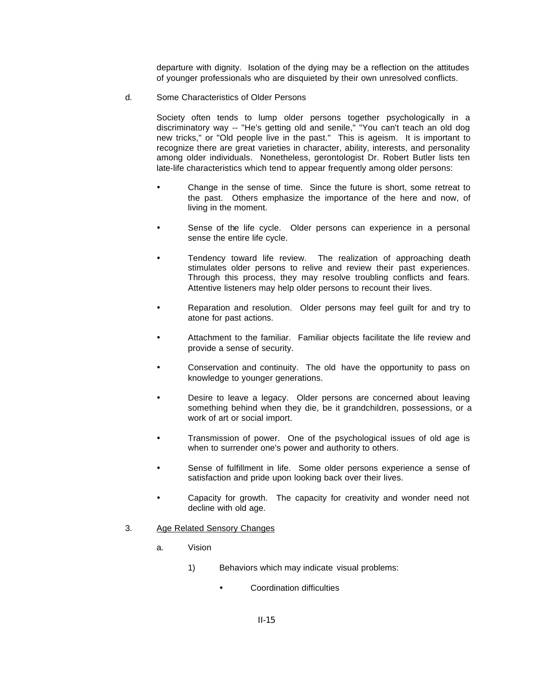departure with dignity. Isolation of the dying may be a reflection on the attitudes of younger professionals who are disquieted by their own unresolved conflicts.

d. Some Characteristics of Older Persons

Society often tends to lump older persons together psychologically in a discriminatory way -- "He's getting old and senile," "You can't teach an old dog new tricks," or "Old people live in the past." This is ageism. It is important to recognize there are great varieties in character, ability, interests, and personality among older individuals. Nonetheless, gerontologist Dr. Robert Butler lists ten late-life characteristics which tend to appear frequently among older persons:

- Change in the sense of time. Since the future is short, some retreat to the past. Others emphasize the importance of the here and now, of living in the moment.
- Sense of the life cycle. Older persons can experience in a personal sense the entire life cycle.
- Tendency toward life review. The realization of approaching death stimulates older persons to relive and review their past experiences. Through this process, they may resolve troubling conflicts and fears. Attentive listeners may help older persons to recount their lives.
- Reparation and resolution. Older persons may feel guilt for and try to atone for past actions.
- Attachment to the familiar. Familiar objects facilitate the life review and provide a sense of security.
- Conservation and continuity. The old have the opportunity to pass on knowledge to younger generations.
- Desire to leave a legacy. Older persons are concerned about leaving something behind when they die, be it grandchildren, possessions, or a work of art or social import.
- ü Transmission of power. One of the psychological issues of old age is when to surrender one's power and authority to others.
- Sense of fulfillment in life. Some older persons experience a sense of satisfaction and pride upon looking back over their lives.
- Capacity for growth. The capacity for creativity and wonder need not decline with old age.
- 3. Age Related Sensory Changes
	- a. Vision
		- 1) Behaviors which may indicate visual problems:
			- Coordination difficulties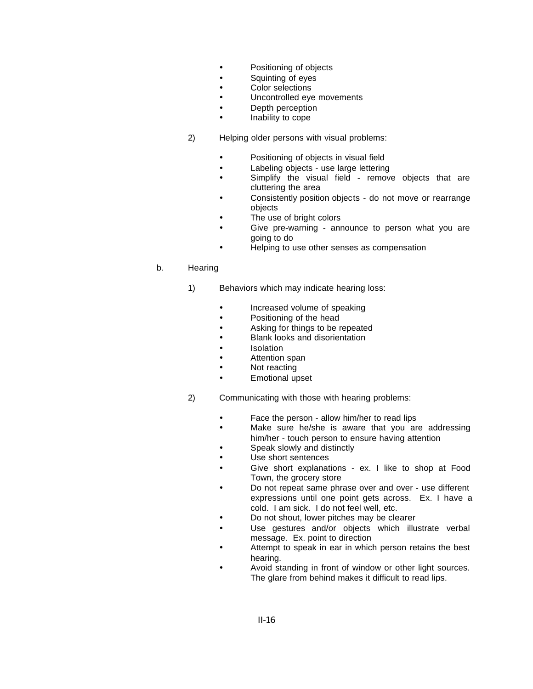- Positioning of objects
- **•** Squinting of eyes
- **•** Color selections
- Uncontrolled eve movements
- Depth perception
- Inability to cope
- 2) Helping older persons with visual problems:
	- Positioning of objects in visual field
	- Labeling objects use large lettering
	- Simplify the visual field remove objects that are cluttering the area
	- Consistently position objects do not move or rearrange objects
	- The use of bright colors
	- Give pre-warning announce to person what you are going to do
	- ü Helping to use other senses as compensation

## b. Hearing

- 1) Behaviors which may indicate hearing loss:
	- Increased volume of speaking
	- Positioning of the head
	- **EXECUTE:** Asking for things to be repeated
	- Blank looks and disorientation
	- Isolation
	- Attention span
	- Not reacting
	- Emotional upset
- 2) Communicating with those with hearing problems:
	- Face the person allow him/her to read lips
	- Make sure he/she is aware that you are addressing him/her - touch person to ensure having attention
	- Speak slowly and distinctly
	- Use short sentences
	- Give short explanations ex. I like to shop at Food Town, the grocery store
	- Do not repeat same phrase over and over use different expressions until one point gets across. Ex. I have a cold. I am sick. I do not feel well, etc.
	- Do not shout, lower pitches may be clearer
	- Use gestures and/or objects which illustrate verbal message. Ex. point to direction
	- Attempt to speak in ear in which person retains the best hearing.
	- Avoid standing in front of window or other light sources. The glare from behind makes it difficult to read lips.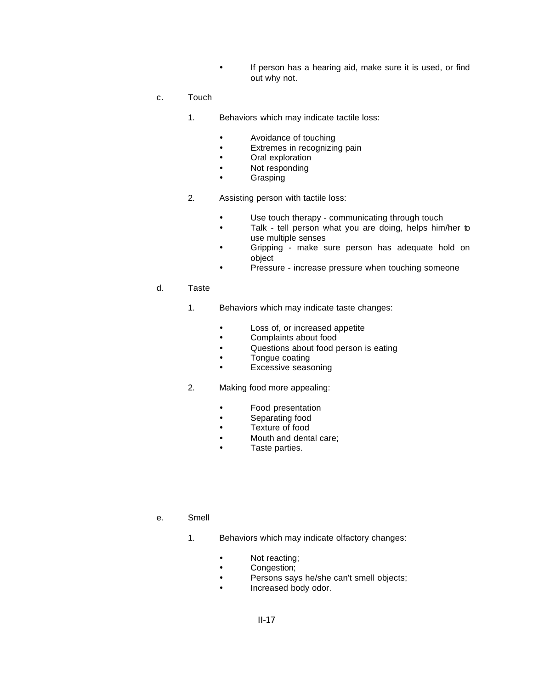- **•** If person has a hearing aid, make sure it is used, or find out why not.
- c. Touch
	- 1. Behaviors which may indicate tactile loss:
		- **•** Avoidance of touching
		- **•** Extremes in recognizing pain
		- Oral exploration
		- Not responding
		- Grasping
	- 2. Assisting person with tactile loss:
		- Use touch therapy communicating through touch
		- Talk tell person what you are doing, helps him/her to use multiple senses
		- Gripping make sure person has adequate hold on object
		- Pressure increase pressure when touching someone
- d. Taste
	- 1. Behaviors which may indicate taste changes:
		- Loss of, or increased appetite
		- **•** Complaints about food
		- **•** Questions about food person is eating
		- Tongue coating
		- **•** Excessive seasoning
	- 2. Making food more appealing:
		- **•** Food presentation
		- **•** Separating food
		- **•** Texture of food
		- Mouth and dental care;
		- Taste parties.
- e. Smell
	- 1. Behaviors which may indicate olfactory changes:
		- Not reacting;
		- Congestion;
		- ü Persons says he/she can't smell objects;
		- Increased body odor.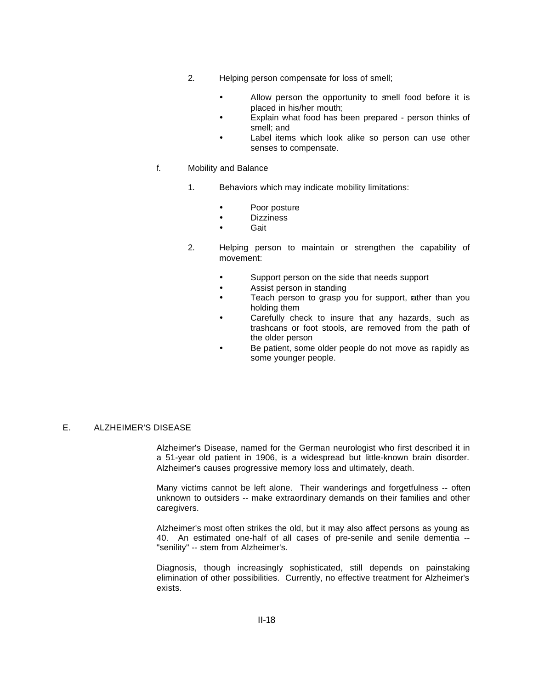- 2. Helping person compensate for loss of smell;
	- Allow person the opportunity to smell food before it is placed in his/her mouth;
	- Explain what food has been prepared person thinks of smell; and
	- Label items which look alike so person can use other senses to compensate.

#### f. Mobility and Balance

- 1. Behaviors which may indicate mobility limitations:
	- Poor posture
	- Dizziness
	- Gait
- 2. Helping person to maintain or strengthen the capability of movement:
	- ü Support person on the side that needs support
	- **•** Assist person in standing
	- Teach person to grasp you for support, rather than you holding them
	- Carefully check to insure that any hazards, such as trashcans or foot stools, are removed from the path of the older person
	- Be patient, some older people do not move as rapidly as some younger people.

#### E. ALZHEIMER'S DISEASE

Alzheimer's Disease, named for the German neurologist who first described it in a 51-year old patient in 1906, is a widespread but little-known brain disorder. Alzheimer's causes progressive memory loss and ultimately, death.

Many victims cannot be left alone. Their wanderings and forgetfulness -- often unknown to outsiders -- make extraordinary demands on their families and other caregivers.

Alzheimer's most often strikes the old, but it may also affect persons as young as 40. An estimated one-half of all cases of pre-senile and senile dementia -- "senility" -- stem from Alzheimer's.

Diagnosis, though increasingly sophisticated, still depends on painstaking elimination of other possibilities. Currently, no effective treatment for Alzheimer's exists.